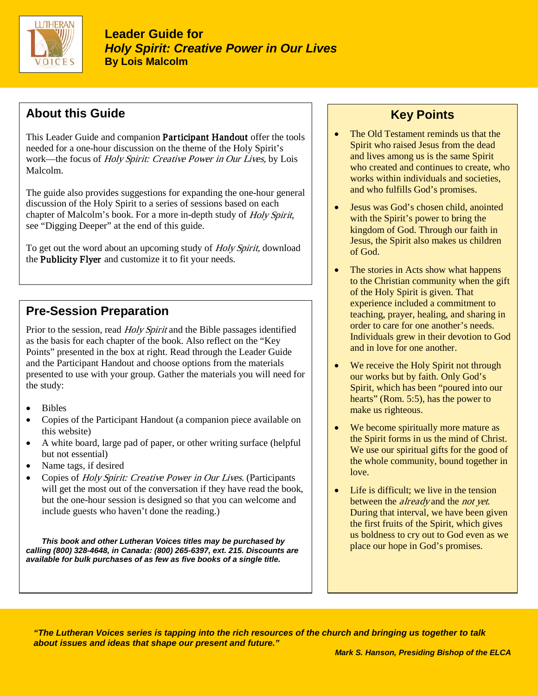

### **About this Guide**

This Leader Guide and companion **Participant Handout** offer the tools needed for a one-hour discussion on the theme of the Holy Spirit's work—the focus of Holy Spirit: Creative Power in Our Lives, by Lois Malcolm.

The guide also provides suggestions for expanding the one-hour general discussion of the Holy Spirit to a series of sessions based on each chapter of Malcolm's book. For a more in-depth study of Holy Spirit, see "Digging Deeper" at the end of this guide.

To get out the word about an upcoming study of *Holy Spirit*, download the Publicity Flyer and customize it to fit your needs.

# **Pre-Session Preparation**

Prior to the session, read *Holy Spirit* and the Bible passages identified as the basis for each chapter of the book. Also reflect on the "Key Points" presented in the box at right. Read through the Leader Guide and the Participant Handout and choose options from the materials presented to use with your group. Gather the materials you will need for the study:

- Bibles
- Copies of the Participant Handout (a companion piece available on this website)
- A white board, large pad of paper, or other writing surface (helpful but not essential)
- Name tags, if desired
- Copies of Holy Spirit: Creative Power in Our Lives. (Participants will get the most out of the conversation if they have read the book, but the one-hour session is designed so that you can welcome and include guests who haven't done the reading.)

*This book and other Lutheran Voices titles may be purchased by calling (800) 328-4648, in Canada: (800) 265-6397, ext. 215. Discounts are available for bulk purchases of as few as five books of a single title.* 

## **Key Points**

- The Old Testament reminds us that the Spirit who raised Jesus from the dead and lives among us is the same Spirit who created and continues to create, who works within individuals and societies, and who fulfills God's promises.
- Jesus was God's chosen child, anointed with the Spirit's power to bring the kingdom of God. Through our faith in Jesus, the Spirit also makes us children of God.
- The stories in Acts show what happens to the Christian community when the gift of the Holy Spirit is given. That experience included a commitment to teaching, prayer, healing, and sharing in order to care for one another's needs. Individuals grew in their devotion to God and in love for one another.
- We receive the Holy Spirit not through our works but by faith. Only God's Spirit, which has been "poured into our hearts" (Rom. 5:5), has the power to make us righteous.
- We become spiritually more mature as the Spirit forms in us the mind of Christ. We use our spiritual gifts for the good of the whole community, bound together in love.
- Life is difficult: we live in the tension between the *already* and the *not yet*. During that interval, we have been given the first fruits of the Spirit, which gives us boldness to cry out to God even as we place our hope in God's promises.

*"The Lutheran Voices series is tapping into the rich resources of the church and bringing us together to talk about issues and ideas that shape our present and future."*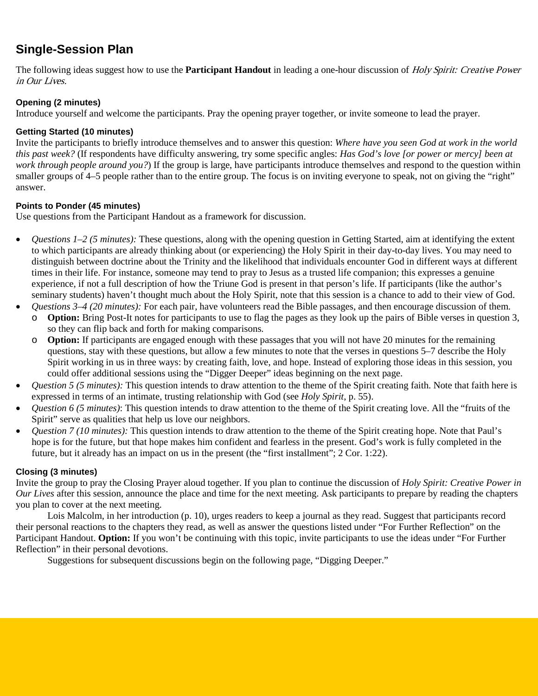### **Single-Session Plan**

The following ideas suggest how to use the **Participant Handout** in leading a one-hour discussion of Holy Spirit: Creative Power in Our Lives.

#### **Opening (2 minutes)**

Introduce yourself and welcome the participants. Pray the opening prayer together, or invite someone to lead the prayer.

#### **Getting Started (10 minutes)**

Invite the participants to briefly introduce themselves and to answer this question: *Where have you seen God at work in the world this past week?* (If respondents have difficulty answering, try some specific angles: *Has God's love [or power or mercy] been at work through people around you?*) If the group is large, have participants introduce themselves and respond to the question within smaller groups of 4–5 people rather than to the entire group. The focus is on inviting everyone to speak, not on giving the "right" answer.

#### **Points to Ponder (45 minutes)**

Use questions from the Participant Handout as a framework for discussion.

- *Questions 1–2 (5 minutes):* These questions, along with the opening question in Getting Started, aim at identifying the extent to which participants are already thinking about (or experiencing) the Holy Spirit in their day-to-day lives. You may need to distinguish between doctrine about the Trinity and the likelihood that individuals encounter God in different ways at different times in their life. For instance, someone may tend to pray to Jesus as a trusted life companion; this expresses a genuine experience, if not a full description of how the Triune God is present in that person's life. If participants (like the author's seminary students) haven't thought much about the Holy Spirit, note that this session is a chance to add to their view of God.
- *Questions 3–4 (20 minutes):* For each pair, have volunteers read the Bible passages, and then encourage discussion of them. o **Option:** Bring Post-It notes for participants to use to flag the pages as they look up the pairs of Bible verses in question 3,
	- so they can flip back and forth for making comparisons. o **Option:** If participants are engaged enough with these passages that you will not have 20 minutes for the remaining
	- questions, stay with these questions, but allow a few minutes to note that the verses in questions 5–7 describe the Holy Spirit working in us in three ways: by creating faith, love, and hope. Instead of exploring those ideas in this session, you could offer additional sessions using the "Digger Deeper" ideas beginning on the next page.
- *Question 5 (5 minutes):* This question intends to draw attention to the theme of the Spirit creating faith. Note that faith here is expressed in terms of an intimate, trusting relationship with God (see *Holy Spirit*, p. 55).
- *Question 6 (5 minutes)*: This question intends to draw attention to the theme of the Spirit creating love. All the "fruits of the Spirit" serve as qualities that help us love our neighbors.
- *Question 7 (10 minutes):* This question intends to draw attention to the theme of the Spirit creating hope. Note that Paul's hope is for the future, but that hope makes him confident and fearless in the present. God's work is fully completed in the future, but it already has an impact on us in the present (the "first installment"; 2 Cor. 1:22).

#### **Closing (3 minutes)**

Invite the group to pray the Closing Prayer aloud together. If you plan to continue the discussion of *Holy Spirit: Creative Power in Our Lives* after this session, announce the place and time for the next meeting. Ask participants to prepare by reading the chapters you plan to cover at the next meeting.

Lois Malcolm, in her introduction (p. 10), urges readers to keep a journal as they read. Suggest that participants record their personal reactions to the chapters they read, as well as answer the questions listed under "For Further Reflection" on the Participant Handout. **Option:** If you won't be continuing with this topic, invite participants to use the ideas under "For Further Reflection" in their personal devotions.

Suggestions for subsequent discussions begin on the following page, "Digging Deeper."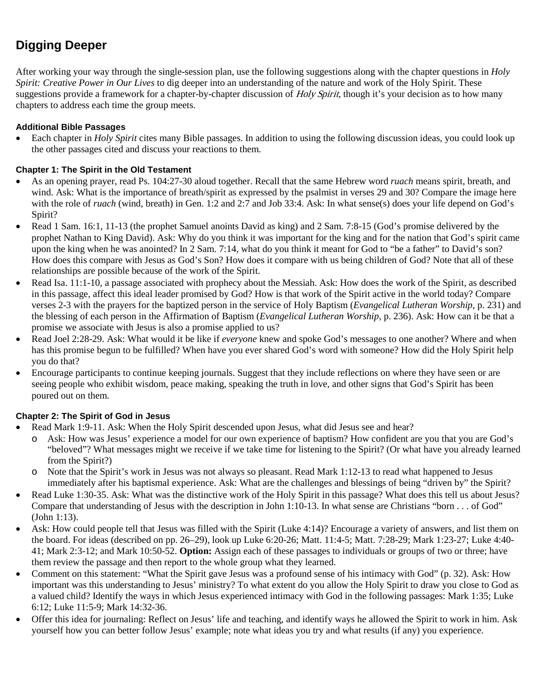# **Digging Deeper**

After working your way through the single-session plan, use the following suggestions along with the chapter questions in *Holy Spirit: Creative Power in Our Lives* to dig deeper into an understanding of the nature and work of the Holy Spirit. These suggestions provide a framework for a chapter-by-chapter discussion of Holy Spirit, though it's your decision as to how many chapters to address each time the group meets.

#### **Additional Bible Passages**

• Each chapter in *Holy Spirit* cites many Bible passages. In addition to using the following discussion ideas, you could look up the other passages cited and discuss your reactions to them.

#### **Chapter 1: The Spirit in the Old Testament**

- As an opening prayer, read Ps. 104:27-30 aloud together. Recall that the same Hebrew word *ruach* means spirit, breath, and wind. Ask: What is the importance of breath/spirit as expressed by the psalmist in verses 29 and 30? Compare the image here with the role of *ruach* (wind, breath) in Gen. 1:2 and 2:7 and Job 33:4. Ask: In what sense(s) does your life depend on God's Spirit?
- Read 1 Sam. 16:1, 11-13 (the prophet Samuel anoints David as king) and 2 Sam. 7:8-15 (God's promise delivered by the prophet Nathan to King David). Ask: Why do you think it was important for the king and for the nation that God's spirit came upon the king when he was anointed? In 2 Sam. 7:14, what do you think it meant for God to "be a father" to David's son? How does this compare with Jesus as God's Son? How does it compare with us being children of God? Note that all of these relationships are possible because of the work of the Spirit.
- Read Isa. 11:1-10, a passage associated with prophecy about the Messiah. Ask: How does the work of the Spirit, as described in this passage, affect this ideal leader promised by God? How is that work of the Spirit active in the world today? Compare verses 2-3 with the prayers for the baptized person in the service of Holy Baptism (*Evangelical Lutheran Worship*, p. 231) and the blessing of each person in the Affirmation of Baptism (*Evangelical Lutheran Worship*, p. 236). Ask: How can it be that a promise we associate with Jesus is also a promise applied to us?
- Read Joel 2:28-29. Ask: What would it be like if *everyone* knew and spoke God's messages to one another? Where and when has this promise begun to be fulfilled? When have you ever shared God's word with someone? How did the Holy Spirit help you do that?
- Encourage participants to continue keeping journals. Suggest that they include reflections on where they have seen or are seeing people who exhibit wisdom, peace making, speaking the truth in love, and other signs that God's Spirit has been poured out on them.

#### **Chapter 2: The Spirit of God in Jesus**

- Read Mark 1:9-11. Ask: When the Holy Spirit descended upon Jesus, what did Jesus see and hear?
	- o Ask: How was Jesus' experience a model for our own experience of baptism? How confident are you that you are God's "beloved"? What messages might we receive if we take time for listening to the Spirit? (Or what have you already learned from the Spirit?)
	- o Note that the Spirit's work in Jesus was not always so pleasant. Read Mark 1:12-13 to read what happened to Jesus immediately after his baptismal experience. Ask: What are the challenges and blessings of being "driven by" the Spirit?
- Read Luke 1:30-35. Ask: What was the distinctive work of the Holy Spirit in this passage? What does this tell us about Jesus? Compare that understanding of Jesus with the description in John 1:10-13. In what sense are Christians "born . . . of God" (John 1:13).
- Ask: How could people tell that Jesus was filled with the Spirit (Luke 4:14)? Encourage a variety of answers, and list them on the board. For ideas (described on pp. 26–29), look up Luke 6:20-26; Matt. 11:4-5; Matt. 7:28-29; Mark 1:23-27; Luke 4:40- 41; Mark 2:3-12; and Mark 10:50-52. **Option:** Assign each of these passages to individuals or groups of two or three; have them review the passage and then report to the whole group what they learned.
- Comment on this statement: "What the Spirit gave Jesus was a profound sense of his intimacy with God" (p. 32). Ask: How important was this understanding to Jesus' ministry? To what extent do you allow the Holy Spirit to draw you close to God as a valued child? Identify the ways in which Jesus experienced intimacy with God in the following passages: Mark 1:35; Luke 6:12; Luke 11:5-9; Mark 14:32-36.
- Offer this idea for journaling: Reflect on Jesus' life and teaching, and identify ways he allowed the Spirit to work in him. Ask yourself how you can better follow Jesus' example; note what ideas you try and what results (if any) you experience.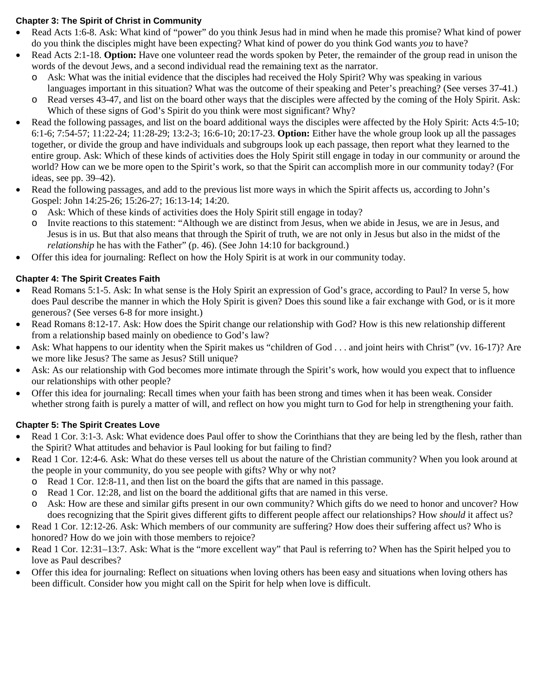#### **Chapter 3: The Spirit of Christ in Community**

- Read Acts 1:6-8. Ask: What kind of "power" do you think Jesus had in mind when he made this promise? What kind of power do you think the disciples might have been expecting? What kind of power do you think God wants *you* to have?
- Read Acts 2:1-18. **Option:** Have one volunteer read the words spoken by Peter, the remainder of the group read in unison the words of the devout Jews, and a second individual read the remaining text as the narrator.
	- o Ask: What was the initial evidence that the disciples had received the Holy Spirit? Why was speaking in various languages important in this situation? What was the outcome of their speaking and Peter's preaching? (See verses 37-41.)
	- o Read verses 43-47, and list on the board other ways that the disciples were affected by the coming of the Holy Spirit. Ask: Which of these signs of God's Spirit do you think were most significant? Why?
- Read the following passages, and list on the board additional ways the disciples were affected by the Holy Spirit: Acts 4:5-10; 6:1-6; 7:54-57; 11:22-24; 11:28-29; 13:2-3; 16:6-10; 20:17-23. **Option:** Either have the whole group look up all the passages together, or divide the group and have individuals and subgroups look up each passage, then report what they learned to the entire group. Ask: Which of these kinds of activities does the Holy Spirit still engage in today in our community or around the world? How can we be more open to the Spirit's work, so that the Spirit can accomplish more in our community today? (For ideas, see pp. 39–42).
- Read the following passages, and add to the previous list more ways in which the Spirit affects us, according to John's Gospel: John 14:25-26; 15:26-27; 16:13-14; 14:20.
	- o Ask: Which of these kinds of activities does the Holy Spirit still engage in today?
	- o Invite reactions to this statement: "Although we are distinct from Jesus, when we abide in Jesus, we are in Jesus, and Jesus is in us. But that also means that through the Spirit of truth, we are not only in Jesus but also in the midst of the *relationship* he has with the Father" (p. 46). (See John 14:10 for background.)
- Offer this idea for journaling: Reflect on how the Holy Spirit is at work in our community today.

### **Chapter 4: The Spirit Creates Faith**

- Read Romans 5:1-5. Ask: In what sense is the Holy Spirit an expression of God's grace, according to Paul? In verse 5, how does Paul describe the manner in which the Holy Spirit is given? Does this sound like a fair exchange with God, or is it more generous? (See verses 6-8 for more insight.)
- Read Romans 8:12-17. Ask: How does the Spirit change our relationship with God? How is this new relationship different from a relationship based mainly on obedience to God's law?
- Ask: What happens to our identity when the Spirit makes us "children of God . . . and joint heirs with Christ" (vv. 16-17)? Are we more like Jesus? The same as Jesus? Still unique?
- Ask: As our relationship with God becomes more intimate through the Spirit's work, how would you expect that to influence our relationships with other people?
- Offer this idea for journaling: Recall times when your faith has been strong and times when it has been weak. Consider whether strong faith is purely a matter of will, and reflect on how you might turn to God for help in strengthening your faith.

### **Chapter 5: The Spirit Creates Love**

- Read 1 Cor. 3:1-3. Ask: What evidence does Paul offer to show the Corinthians that they are being led by the flesh, rather than the Spirit? What attitudes and behavior is Paul looking for but failing to find?
- Read 1 Cor. 12:4-6. Ask: What do these verses tell us about the nature of the Christian community? When you look around at the people in your community, do you see people with gifts? Why or why not?
	- o Read 1 Cor. 12:8-11, and then list on the board the gifts that are named in this passage.
	- o Read 1 Cor. 12:28, and list on the board the additional gifts that are named in this verse.
	- o Ask: How are these and similar gifts present in our own community? Which gifts do we need to honor and uncover? How does recognizing that the Spirit gives different gifts to different people affect our relationships? How *should* it affect us?
- Read 1 Cor. 12:12-26. Ask: Which members of our community are suffering? How does their suffering affect us? Who is honored? How do we join with those members to rejoice?
- Read 1 Cor. 12:31–13:7. Ask: What is the "more excellent way" that Paul is referring to? When has the Spirit helped you to love as Paul describes?
- Offer this idea for journaling: Reflect on situations when loving others has been easy and situations when loving others has been difficult. Consider how you might call on the Spirit for help when love is difficult.